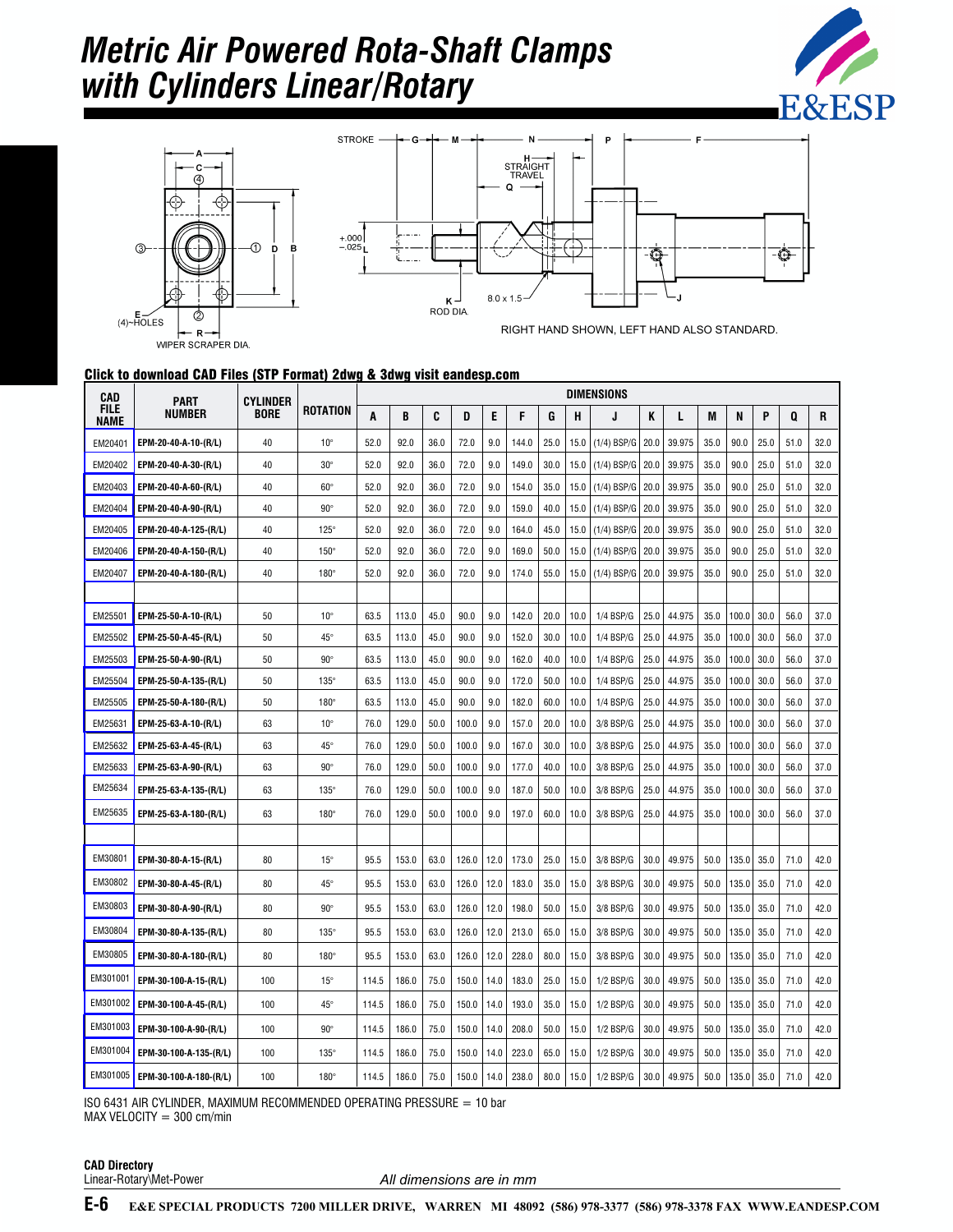# *Metric Air Powered Rota-Shaft Clamps with Cylinders Linear/Rotary*







RIGHT HAND SHOWN, LEFT HAND ALSO STANDARD.

#### Click to download CAD Files (STP Format) 2dwg & 3dwg visit eandesp.com

| CAD                 | PART                   | CYLINDER    | ROTATION     | <b>DIMENSIONS</b> |       |      |       |      |       |      |      |               |      |        |      |       |      |      |      |
|---------------------|------------------------|-------------|--------------|-------------------|-------|------|-------|------|-------|------|------|---------------|------|--------|------|-------|------|------|------|
| <b>FILE</b><br>NAME | NUMBER                 | <b>BORE</b> |              | A                 | B     | C    | D     | E    | F     | G    | н    | J             | K    |        | M    | N     | P    | Q    | R    |
| EM20401             | EPM-20-40-A-10-(R/L)   | 40          | $10^{\circ}$ | 52.0              | 92.0  | 36.0 | 72.0  | 9.0  | 144.0 | 25.0 | 15.0 | (1/4) BSP/G   | 20.0 | 39.975 | 35.0 | 90.0  | 25.0 | 51.0 | 32.0 |
| EM20402             | EPM-20-40-A-30-(R/L)   | 40          | $30^\circ$   | 52.0              | 92.0  | 36.0 | 72.0  | 9.0  | 149.0 | 30.0 | 15.0 | $(1/4)$ BSP/G | 20.0 | 39.975 | 35.0 | 90.0  | 25.0 | 51.0 | 32.0 |
| EM20403             | EPM-20-40-A-60-(R/L)   | 40          | $60^{\circ}$ | 52.0              | 92.0  | 36.0 | 72.0  | 9.0  | 154.0 | 35.0 | 15.0 | $(1/4)$ BSP/G | 20.0 | 39.975 | 35.0 | 90.0  | 25.0 | 51.0 | 32.0 |
| EM20404             | EPM-20-40-A-90-(R/L)   | 40          | $90^\circ$   | 52.0              | 92.0  | 36.0 | 72.0  | 9.0  | 159.0 | 40.0 | 15.0 | (1/4) BSP/G   | 20.0 | 39.975 | 35.0 | 90.0  | 25.0 | 51.0 | 32.0 |
| EM20405             | EPM-20-40-A-125-(R/L)  | 40          | $125^\circ$  | 52.0              | 92.0  | 36.0 | 72.0  | 9.0  | 164.0 | 45.0 | 15.0 | $(1/4)$ BSP/G | 20.0 | 39.975 | 35.0 | 90.0  | 25.0 | 51.0 | 32.0 |
| EM20406             | EPM-20-40-A-150-(R/L)  | 40          | $150^\circ$  | 52.0              | 92.0  | 36.0 | 72.0  | 9.0  | 169.0 | 50.0 | 15.0 | (1/4) BSP/G   | 20.0 | 39.975 | 35.0 | 90.0  | 25.0 | 51.0 | 32.0 |
| EM20407             | EPM-20-40-A-180-(R/L)  | 40          | $180^\circ$  | 52.0              | 92.0  | 36.0 | 72.0  | 9.0  | 174.0 | 55.0 | 15.0 | $(1/4)$ BSP/G | 20.0 | 39.975 | 35.0 | 90.0  | 25.0 | 51.0 | 32.0 |
|                     |                        |             |              |                   |       |      |       |      |       |      |      |               |      |        |      |       |      |      |      |
| EM25501             | EPM-25-50-A-10-(R/L)   | 50          | $10^{\circ}$ | 63.5              | 113.0 | 45.0 | 90.0  | 9.0  | 142.0 | 20.0 | 10.0 | 1/4 BSP/G     | 25.0 | 44.975 | 35.0 | 100.0 | 30.0 | 56.0 | 37.0 |
| EM25502             | EPM-25-50-A-45-(R/L)   | 50          | $45^{\circ}$ | 63.5              | 113.0 | 45.0 | 90.0  | 9.0  | 152.0 | 30.0 | 10.0 | 1/4 BSP/G     | 25.0 | 44.975 | 35.0 | 100.0 | 30.0 | 56.0 | 37.0 |
| EM25503             | EPM-25-50-A-90-(R/L)   | 50          | $90^\circ$   | 63.5              | 113.0 | 45.0 | 90.0  | 9.0  | 162.0 | 40.0 | 10.0 | 1/4 BSP/G     | 25.0 | 44.975 | 35.0 | 100.0 | 30.0 | 56.0 | 37.0 |
| EM25504             | EPM-25-50-A-135-(R/L)  | 50          | $135^\circ$  | 63.5              | 113.0 | 45.0 | 90.0  | 9.0  | 172.0 | 50.0 | 10.0 | 1/4 BSP/G     | 25.0 | 44.975 | 35.0 | 100.0 | 30.0 | 56.0 | 37.0 |
| EM25505             | EPM-25-50-A-180-(R/L)  | 50          | $180^\circ$  | 63.5              | 113.0 | 45.0 | 90.0  | 9.0  | 182.0 | 60.0 | 10.0 | 1/4 BSP/G     | 25.0 | 44.975 | 35.0 | 100.0 | 30.0 | 56.0 | 37.0 |
| EM25631             | EPM-25-63-A-10-(R/L)   | 63          | $10^{\circ}$ | 76.0              | 129.0 | 50.0 | 100.0 | 9.0  | 157.0 | 20.0 | 10.0 | 3/8 BSP/G     | 25.0 | 44.975 | 35.0 | 100.0 | 30.0 | 56.0 | 37.0 |
| EM25632             | EPM-25-63-A-45-(R/L)   | 63          | $45^{\circ}$ | 76.0              | 129.0 | 50.0 | 100.0 | 9.0  | 167.0 | 30.0 | 10.0 | 3/8 BSP/G     | 25.0 | 44.975 | 35.0 | 100.0 | 30.0 | 56.0 | 37.0 |
| EM25633             | EPM-25-63-A-90-(R/L)   | 63          | $90^\circ$   | 76.0              | 129.0 | 50.0 | 100.0 | 9.0  | 177.0 | 40.0 | 10.0 | 3/8 BSP/G     | 25.0 | 44.975 | 35.0 | 100.0 | 30.0 | 56.0 | 37.0 |
| EM25634             | EPM-25-63-A-135-(R/L)  | 63          | $135^\circ$  | 76.0              | 129.0 | 50.0 | 100.0 | 9.0  | 187.0 | 50.0 | 10.0 | 3/8 BSP/G     | 25.0 | 44.975 | 35.0 | 100.0 | 30.0 | 56.0 | 37.0 |
| EM25635             | EPM-25-63-A-180-(R/L)  | 63          | $180^\circ$  | 76.0              | 129.0 | 50.0 | 100.0 | 9.0  | 197.0 | 60.0 | 10.0 | $3/8$ BSP/G   | 25.0 | 44.975 | 35.0 | 100.0 | 30.0 | 56.0 | 37.0 |
|                     |                        |             |              |                   |       |      |       |      |       |      |      |               |      |        |      |       |      |      |      |
| EM30801             | EPM-30-80-A-15-(R/L)   | 80          | $15^{\circ}$ | 95.5              | 153.0 | 63.0 | 126.0 | 12.0 | 173.0 | 25.0 | 15.0 | 3/8 BSP/G     | 30.0 | 49.975 | 50.0 | 135.0 | 35.0 | 71.0 | 42.0 |
| EM30802             | EPM-30-80-A-45-(R/L)   | 80          | $45^{\circ}$ | 95.5              | 153.0 | 63.0 | 126.0 | 12.0 | 183.0 | 35.0 | 15.0 | $3/8$ BSP/G   | 30.0 | 49.975 | 50.0 | 135.0 | 35.0 | 71.0 | 42.0 |
| EM30803             | EPM-30-80-A-90-(R/L)   | 80          | $90^{\circ}$ | 95.5              | 153.0 | 63.0 | 126.0 | 12.0 | 198.0 | 50.0 | 15.0 | $3/8$ BSP/G   | 30.0 | 49.975 | 50.0 | 135.0 | 35.0 | 71.0 | 42.0 |
| EM30804             | EPM-30-80-A-135-(R/L)  | 80          | $135^\circ$  | 95.5              | 153.0 | 63.0 | 126.0 | 12.0 | 213.0 | 65.0 | 15.0 | 3/8 BSP/G     | 30.0 | 49.975 | 50.0 | 135.0 | 35.0 | 71.0 | 42.0 |
| EM30805             | EPM-30-80-A-180-(R/L)  | 80          | $180^\circ$  | 95.5              | 153.0 | 63.0 | 126.0 | 12.0 | 228.0 | 80.0 | 15.0 | $3/8$ BSP/G   | 30.0 | 49.975 | 50.0 | 135.0 | 35.0 | 71.0 | 42.0 |
| EM301001            | EPM-30-100-A-15-(R/L)  | 100         | $15^{\circ}$ | 114.5             | 186.0 | 75.0 | 150.0 | 14.0 | 183.0 | 25.0 | 15.0 | $1/2$ BSP/G   | 30.0 | 49.975 | 50.0 | 135.0 | 35.0 | 71.0 | 42.0 |
| EM301002            | EPM-30-100-A-45-(R/L)  | 100         | $45^{\circ}$ | 114.5             | 186.0 | 75.0 | 150.0 | 14.0 | 193.0 | 35.0 | 15.0 | $1/2$ BSP/G   | 30.0 | 49.975 | 50.0 | 135.0 | 35.0 | 71.0 | 42.0 |
| EM301003            | EPM-30-100-A-90-(R/L)  | 100         | $90^\circ$   | 114.5             | 186.0 | 75.0 | 150.0 | 14.0 | 208.0 | 50.0 | 15.0 | $1/2$ BSP/G   | 30.0 | 49.975 | 50.0 | 135.0 | 35.0 | 71.0 | 42.0 |
| EM301004            | EPM-30-100-A-135-(R/L) | 100         | $135^\circ$  | 114.5             | 186.0 | 75.0 | 150.0 | 14.0 | 223.0 | 65.0 | 15.0 | 1/2 BSP/G     | 30.0 | 49.975 | 50.0 | 135.0 | 35.0 | 71.0 | 42.0 |
| EM301005            | EPM-30-100-A-180-(R/L) | 100         | $180^\circ$  | 114.5             | 186.0 | 75.0 | 150.0 | 14.0 | 238.0 | 80.0 | 15.0 | $1/2$ BSP/G   | 30.0 | 49.975 | 50.0 | 135.0 | 35.0 | 71.0 | 42.0 |

ISO 6431 AIR CYLINDER, MAXIMUM RECOMMENDED OPERATING PRESSURE = 10 bar

 $MAX$  VELOCITY = 300 cm/min

**CAD Directory**

Linear-Rotary\Met-Power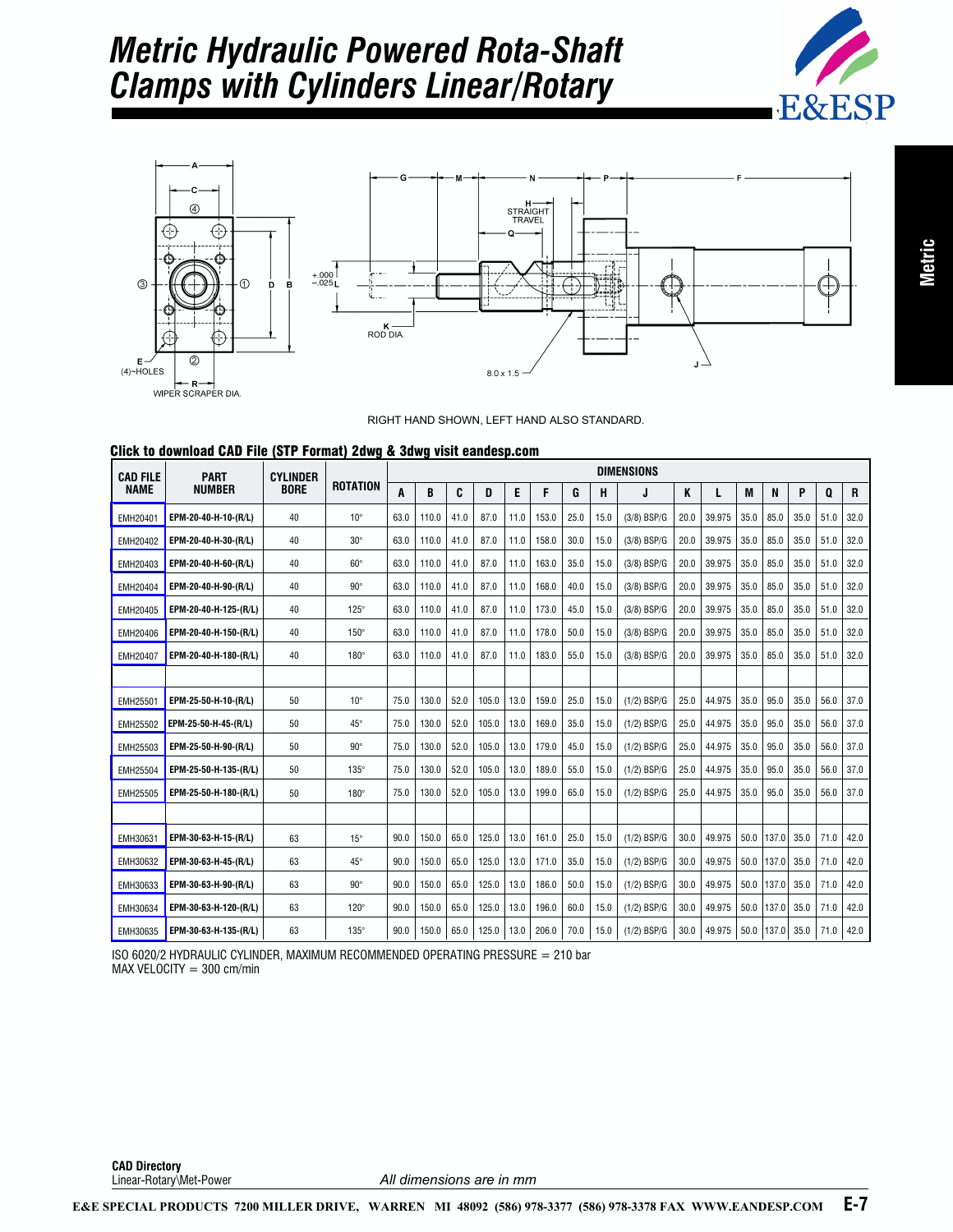

**Metric**



RIGHT HAND SHOWN, LEFT HAND ALSO STANDARD.

#### Click to download CAD File (STP Format) 2dwg & 3dwg visit eandesp.com

| <b>CAD FILE</b> | <b>PART</b><br><b>NUMBER</b> | <b>CYLINDER</b><br><b>BORE</b> | <b>ROTATION</b> | <b>DIMENSIONS</b> |       |      |       |      |       |      |      |               |      |        |      |       |      |      |      |
|-----------------|------------------------------|--------------------------------|-----------------|-------------------|-------|------|-------|------|-------|------|------|---------------|------|--------|------|-------|------|------|------|
| <b>NAME</b>     |                              |                                |                 | A                 | B     | C    | D     | E    | F     | G    | H    | J             | K    |        | M    | N     | P    | Q    | R    |
| EMH20401        | EPM-20-40-H-10-(R/L)         | 40                             | $10^{\circ}$    | 63.0              | 110.0 | 41.0 | 87.0  | 11.0 | 153.0 | 25.0 | 15.0 | $(3/8)$ BSP/G | 20.0 | 39.975 | 35.0 | 85.0  | 35.0 | 51.0 | 32.0 |
| EMH20402        | EPM-20-40-H-30-(R/L)         | 40                             | $30^\circ$      | 63.0              | 110.0 | 41.0 | 87.0  | 11.0 | 158.0 | 30.0 | 15.0 | $(3/8)$ BSP/G | 20.0 | 39.975 | 35.0 | 85.0  | 35.0 | 51.0 | 32.0 |
| EMH20403        | EPM-20-40-H-60-(R/L)         | 40                             | $60^\circ$      | 63.0              | 110.0 | 41.0 | 87.0  | 11.0 | 163.0 | 35.0 | 15.0 | $(3/8)$ BSP/G | 20.0 | 39.975 | 35.0 | 85.0  | 35.0 | 51.0 | 32.0 |
| EMH20404        | EPM-20-40-H-90-(R/L)         | 40                             | $90^\circ$      | 63.0              | 110.0 | 41.0 | 87.0  | 11.0 | 168.0 | 40.0 | 15.0 | $(3/8)$ BSP/G | 20.0 | 39.975 | 35.0 | 85.0  | 35.0 | 51.0 | 32.0 |
| EMH20405        | EPM-20-40-H-125-(R/L)        | 40                             | $125^\circ$     | 63.0              | 110.0 | 41.0 | 87.0  | 11.0 | 173.0 | 45.0 | 15.0 | $(3/8)$ BSP/G | 20.0 | 39.975 | 35.0 | 85.0  | 35.0 | 51.0 | 32.0 |
| EMH20406        | EPM-20-40-H-150-(R/L)        | 40                             | $150^\circ$     | 63.0              | 110.0 | 41.0 | 87.0  | 11.0 | 178.0 | 50.0 | 15.0 | $(3/8)$ BSP/G | 20.0 | 39.975 | 35.0 | 85.0  | 35.0 | 51.0 | 32.0 |
| EMH20407        | EPM-20-40-H-180-(R/L)        | 40                             | $180^\circ$     | 63.0              | 110.0 | 41.0 | 87.0  | 11.0 | 183.0 | 55.0 | 15.0 | $(3/8)$ BSP/G | 20.0 | 39.975 | 35.0 | 85.0  | 35.0 | 51.0 | 32.0 |
|                 |                              |                                |                 |                   |       |      |       |      |       |      |      |               |      |        |      |       |      |      |      |
| EMH25501        | EPM-25-50-H-10-(R/L)         | 50                             | $10^{\circ}$    | 75.0              | 130.0 | 52.0 | 105.0 | 13.0 | 159.0 | 25.0 | 15.0 | $(1/2)$ BSP/G | 25.0 | 44.975 | 35.0 | 95.0  | 35.0 | 56.0 | 37.0 |
| EMH25502        | EPM-25-50-H-45-(R/L)         | 50                             | $45^{\circ}$    | 75.0              | 130.0 | 52.0 | 105.0 | 13.0 | 169.0 | 35.0 | 15.0 | $(1/2)$ BSP/G | 25.0 | 44.975 | 35.0 | 95.0  | 35.0 | 56.0 | 37.0 |
| EMH25503        | EPM-25-50-H-90-(R/L)         | 50                             | $90^\circ$      | 75.0              | 130.0 | 52.0 | 105.0 | 13.0 | 179.0 | 45.0 | 15.0 | $(1/2)$ BSP/G | 25.0 | 44.975 | 35.0 | 95.0  | 35.0 | 56.0 | 37.0 |
| EMH25504        | EPM-25-50-H-135-(R/L)        | 50                             | $135^\circ$     | 75.0              | 130.0 | 52.0 | 105.0 | 13.0 | 189.0 | 55.0 | 15.0 | $(1/2)$ BSP/G | 25.0 | 44.975 | 35.0 | 95.0  | 35.0 | 56.0 | 37.0 |
| EMH25505        | EPM-25-50-H-180-(R/L)        | 50                             | $180^\circ$     | 75.0              | 130.0 | 52.0 | 105.0 | 13.0 | 199.0 | 65.0 | 15.0 | $(1/2)$ BSP/G | 25.0 | 44.975 | 35.0 | 95.0  | 35.0 | 56.0 | 37.0 |
|                 |                              |                                |                 |                   |       |      |       |      |       |      |      |               |      |        |      |       |      |      |      |
| EMH30631        | EPM-30-63-H-15-(R/L)         | 63                             | $15^{\circ}$    | 90.0              | 150.0 | 65.0 | 125.0 | 13.0 | 161.0 | 25.0 | 15.0 | $(1/2)$ BSP/G | 30.0 | 49.975 | 50.0 | 137.0 | 35.0 | 71.0 | 42.0 |
| EMH30632        | EPM-30-63-H-45-(R/L)         | 63                             | $45^{\circ}$    | 90.0              | 150.0 | 65.0 | 125.0 | 13.0 | 171.0 | 35.0 | 15.0 | $(1/2)$ BSP/G | 30.0 | 49.975 | 50.0 | 137.0 | 35.0 | 71.0 | 42.0 |
| EMH30633        | EPM-30-63-H-90-(R/L)         | 63                             | $90^\circ$      | 90.0              | 150.0 | 65.0 | 125.0 | 13.0 | 186.0 | 50.0 | 15.0 | $(1/2)$ BSP/G | 30.0 | 49.975 | 50.0 | 137.0 | 35.0 | 71.0 | 42.0 |
| EMH30634        | EPM-30-63-H-120-(R/L)        | 63                             | $120^\circ$     | 90.0              | 150.0 | 65.0 | 125.0 | 13.0 | 196.0 | 60.0 | 15.0 | $(1/2)$ BSP/G | 30.0 | 49.975 | 50.0 | 137.0 | 35.0 | 71.0 | 42.0 |
| EMH30635        | EPM-30-63-H-135-(R/L)        | 63                             | $135^\circ$     | 90.0              | 150.0 | 65.0 | 125.0 | 13.0 | 206.0 | 70.0 | 15.0 | $(1/2)$ BSP/G | 30.0 | 49.975 | 50.0 | 137.0 | 35.0 | 71.0 | 42.0 |

ISO 6020/2 HYDRAULIC CYLINDER, MAXIMUM RECOMMENDED OPERATING PRESSURE = 210 bar  $MAX$  VELOCITY = 300 cm/min

**CAD Directory** Linear-Rotary\Met-Power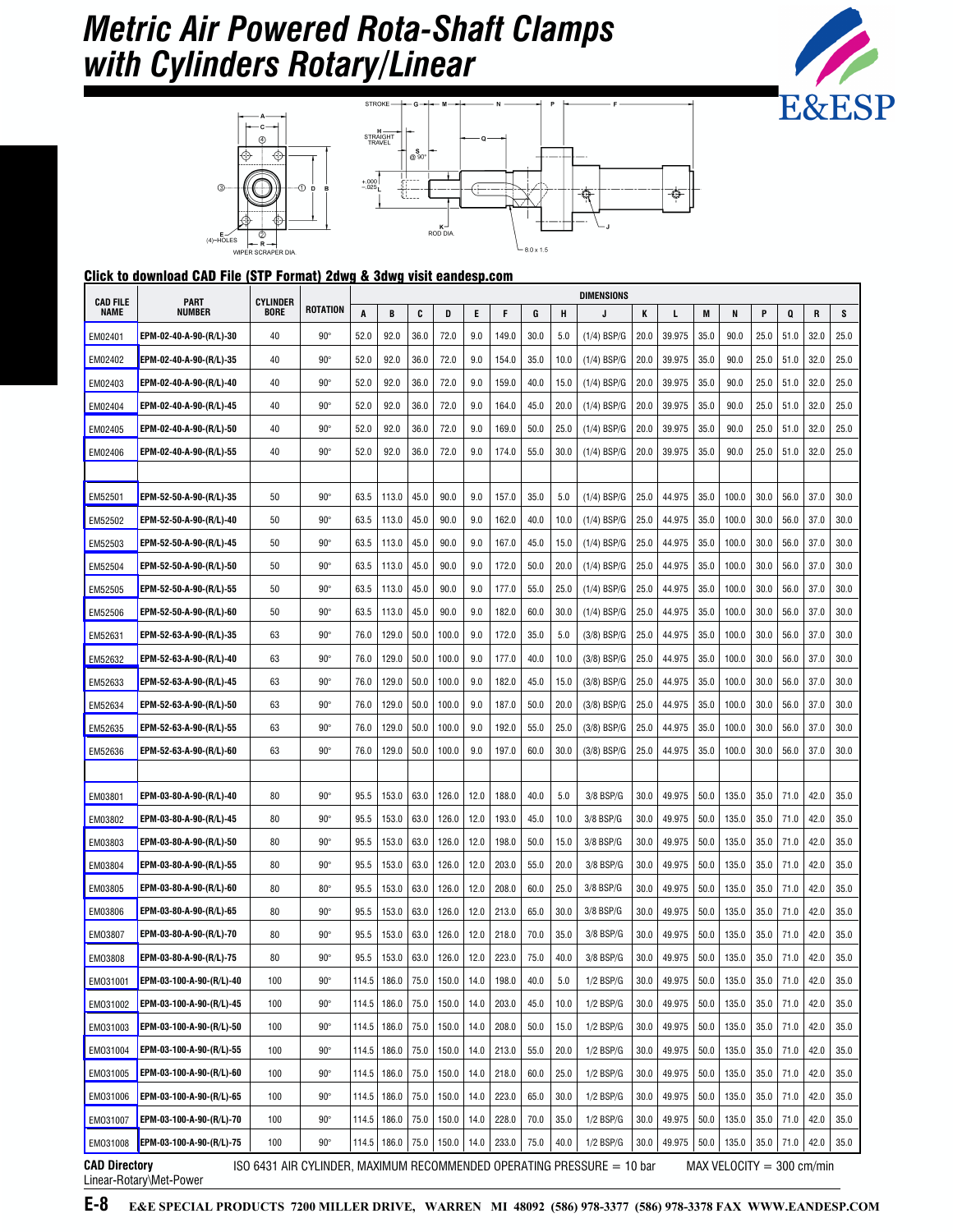## *Metric Air Powered Rota-Shaft Clamps with Cylinders Rotary/Linear*

H<br>STRAIGHT<br>TRAVEL

 $^{+.000}_{-.025}$ 

္လွ<br>@ 90









### Click to download CAD File (STP Format) 2dwg & 3dwg visit eandesp.com

| <b>CAD FILE</b>      | PART                     | <b>CYLINDER</b> |            |       |             |      |       |      |       |      |      | <b>DIMENSIONS</b>                                                      |      |        |      |                             |      |      |      |      |  |  |  |
|----------------------|--------------------------|-----------------|------------|-------|-------------|------|-------|------|-------|------|------|------------------------------------------------------------------------|------|--------|------|-----------------------------|------|------|------|------|--|--|--|
| <b>NAME</b>          | <b>NUMBER</b>            | <b>BORE</b>     | ROTATION   | A     | B           | C    | D     | E    | F     | G    | н    | J                                                                      | Κ    | L.     | M    | N                           | P    | Q    | R    | S    |  |  |  |
| EM02401              | EPM-02-40-A-90-(R/L)-30  | 40              | $90^\circ$ | 52.0  | 92.0        | 36.0 | 72.0  | 9.0  | 149.0 | 30.0 | 5.0  | $(1/4)$ BSP/G                                                          | 20.0 | 39.975 | 35.0 | 90.0                        | 25.0 | 51.0 | 32.0 | 25.0 |  |  |  |
| EM02402              | EPM-02-40-A-90-(R/L)-35  | 40              | $90^\circ$ | 52.0  | 92.0        | 36.0 | 72.0  | 9.0  | 154.0 | 35.0 | 10.0 | $(1/4)$ BSP/G                                                          | 20.0 | 39.975 | 35.0 | 90.0                        | 25.0 | 51.0 | 32.0 | 25.0 |  |  |  |
| EM02403              | EPM-02-40-A-90-(R/L)-40  | 40              | $90^\circ$ | 52.0  | 92.0        | 36.0 | 72.0  | 9.0  | 159.0 | 40.0 | 15.0 | $(1/4)$ BSP/G                                                          | 20.0 | 39.975 | 35.0 | 90.0                        | 25.0 | 51.0 | 32.0 | 25.0 |  |  |  |
| EM02404              | EPM-02-40-A-90-(R/L)-45  | 40              | $90^\circ$ | 52.0  | 92.0        | 36.0 | 72.0  | 9.0  | 164.0 | 45.0 | 20.0 | $(1/4)$ BSP/G                                                          | 20.0 | 39.975 | 35.0 | 90.0                        | 25.0 | 51.0 | 32.0 | 25.0 |  |  |  |
| EM02405              | EPM-02-40-A-90-(R/L)-50  | 40              | $90^\circ$ | 52.0  | 92.0        | 36.0 | 72.0  | 9.0  | 169.0 | 50.0 | 25.0 | $(1/4)$ BSP/G                                                          | 20.0 | 39.975 | 35.0 | 90.0                        | 25.0 | 51.0 | 32.0 | 25.0 |  |  |  |
| EM02406              | EPM-02-40-A-90-(R/L)-55  | 40              | $90^\circ$ | 52.0  | 92.0        | 36.0 | 72.0  | 9.0  | 174.0 | 55.0 | 30.0 | $(1/4)$ BSP/G                                                          | 20.0 | 39.975 | 35.0 | 90.0                        | 25.0 | 51.0 | 32.0 | 25.0 |  |  |  |
|                      |                          |                 |            |       |             |      |       |      |       |      |      |                                                                        |      |        |      |                             |      |      |      |      |  |  |  |
| EM52501              | EPM-52-50-A-90-(R/L)-35  | 50              | $90^\circ$ | 63.5  | 113.0       | 45.0 | 90.0  | 9.0  | 157.0 | 35.0 | 5.0  | $(1/4)$ BSP/G                                                          | 25.0 | 44.975 | 35.0 | 100.0                       | 30.0 | 56.0 | 37.0 | 30.0 |  |  |  |
| EM52502              | EPM-52-50-A-90-(R/L)-40  | 50              | $90^\circ$ | 63.5  | 113.0       | 45.0 | 90.0  | 9.0  | 162.0 | 40.0 | 10.0 | $(1/4)$ BSP/G                                                          | 25.0 | 44.975 | 35.0 | 100.0                       | 30.0 | 56.0 | 37.0 | 30.0 |  |  |  |
| EM52503              | EPM-52-50-A-90-(R/L)-45  | 50              | $90^\circ$ | 63.5  | 113.0       | 45.0 | 90.0  | 9.0  | 167.0 | 45.0 | 15.0 | $(1/4)$ BSP/G                                                          | 25.0 | 44.975 | 35.0 | 100.0                       | 30.0 | 56.0 | 37.0 | 30.0 |  |  |  |
| EM52504              | EPM-52-50-A-90-(R/L)-50  | 50              | $90^\circ$ | 63.5  | 113.0       | 45.0 | 90.0  | 9.0  | 172.0 | 50.0 | 20.0 | $(1/4)$ BSP/G                                                          | 25.0 | 44.975 | 35.0 | 100.0                       | 30.0 | 56.0 | 37.0 | 30.0 |  |  |  |
| EM52505              | EPM-52-50-A-90-(R/L)-55  | 50              | $90^\circ$ | 63.5  | 113.0       | 45.0 | 90.0  | 9.0  | 177.0 | 55.0 | 25.0 | $(1/4)$ BSP/G                                                          | 25.0 | 44.975 | 35.0 | 100.0                       | 30.0 | 56.0 | 37.0 | 30.0 |  |  |  |
| EM52506              | EPM-52-50-A-90-(R/L)-60  | 50              | $90^\circ$ | 63.5  | 113.0       | 45.0 | 90.0  | 9.0  | 182.0 | 60.0 | 30.0 | $(1/4)$ BSP/G                                                          | 25.0 | 44.975 | 35.0 | 100.0                       | 30.0 | 56.0 | 37.0 | 30.0 |  |  |  |
| EM52631              | EPM-52-63-A-90-(R/L)-35  | 63              | $90^\circ$ | 76.0  | 129.0       | 50.0 | 100.0 | 9.0  | 172.0 | 35.0 | 5.0  | $(3/8)$ BSP/G                                                          | 25.0 | 44.975 | 35.0 | 100.0                       | 30.0 | 56.0 | 37.0 | 30.0 |  |  |  |
| EM52632              | EPM-52-63-A-90-(R/L)-40  | 63              | $90^\circ$ | 76.0  | 129.0       | 50.0 | 100.0 | 9.0  | 177.0 | 40.0 | 10.0 | $(3/8)$ BSP/G                                                          | 25.0 | 44.975 | 35.0 | 100.0                       | 30.0 | 56.0 | 37.0 | 30.0 |  |  |  |
| EM52633              | EPM-52-63-A-90-(R/L)-45  | 63              | $90^\circ$ | 76.0  | 129.0       | 50.0 | 100.0 | 9.0  | 182.0 | 45.0 | 15.0 | $(3/8)$ BSP/G                                                          | 25.0 | 44.975 | 35.0 | 100.0                       | 30.0 | 56.0 | 37.0 | 30.0 |  |  |  |
| EM52634              | EPM-52-63-A-90-(R/L)-50  | 63              | $90^\circ$ | 76.0  | 129.0       | 50.0 | 100.0 | 9.0  | 187.0 | 50.0 | 20.0 | $(3/8)$ BSP/G                                                          | 25.0 | 44.975 | 35.0 | 100.0                       | 30.0 | 56.0 | 37.0 | 30.0 |  |  |  |
| EM52635              | EPM-52-63-A-90-(R/L)-55  | 63              | $90^\circ$ | 76.0  | 129.0       | 50.0 | 100.0 | 9.0  | 192.0 | 55.0 | 25.0 | $(3/8)$ BSP/G                                                          | 25.0 | 44.975 | 35.0 | 100.0                       | 30.0 | 56.0 | 37.0 | 30.0 |  |  |  |
| EM52636              | EPM-52-63-A-90-(R/L)-60  | 63              | $90^\circ$ | 76.0  | 129.0       | 50.0 | 100.0 | 9.0  | 197.0 | 60.0 | 30.0 | $(3/8)$ BSP/G                                                          | 25.0 | 44.975 | 35.0 | 100.0                       | 30.0 | 56.0 | 37.0 | 30.0 |  |  |  |
|                      |                          |                 |            |       |             |      |       |      |       |      |      |                                                                        |      |        |      |                             |      |      |      |      |  |  |  |
| EM03801              | EPM-03-80-A-90-(R/L)-40  | 80              | $90^\circ$ | 95.5  | 153.0       | 63.0 | 126.0 | 12.0 | 188.0 | 40.0 | 5.0  | $3/8$ BSP/G                                                            | 30.0 | 49.975 | 50.0 | 135.0                       | 35.0 | 71.0 | 42.0 | 35.0 |  |  |  |
| EM03802              | EPM-03-80-A-90-(R/L)-45  | 80              | $90^\circ$ | 95.5  | 153.0       | 63.0 | 126.0 | 12.0 | 193.0 | 45.0 | 10.0 | $3/8$ BSP/G                                                            | 30.0 | 49.975 | 50.0 | 135.0                       | 35.0 | 71.0 | 42.0 | 35.0 |  |  |  |
| EM03803              | EPM-03-80-A-90-(R/L)-50  | 80              | $90^\circ$ | 95.5  | 153.0       | 63.0 | 126.0 | 12.0 | 198.0 | 50.0 | 15.0 | $3/8$ BSP/G                                                            | 30.0 | 49.975 | 50.0 | 135.0                       | 35.0 | 71.0 | 42.0 | 35.0 |  |  |  |
| EM03804              | EPM-03-80-A-90-(R/L)-55  | 80              | $90^\circ$ | 95.5  | 153.0       | 63.0 | 126.0 | 12.0 | 203.0 | 55.0 | 20.0 | $3/8$ BSP/G                                                            | 30.0 | 49.975 | 50.0 | 135.0                       | 35.0 | 71.0 | 42.0 | 35.0 |  |  |  |
| EM03805              | EPM-03-80-A-90-(R/L)-60  | 80              | $80^\circ$ | 95.5  | 153.0       | 63.0 | 126.0 | 12.0 | 208.0 | 60.0 | 25.0 | $3/8$ BSP/G                                                            | 30.0 | 49.975 | 50.0 | 135.0                       | 35.0 | 71.0 | 42.0 | 35.0 |  |  |  |
| EM03806              | EPM-03-80-A-90-(R/L)-65  | 80              | $90^\circ$ | 95.5  | 153.0       | 63.0 | 126.0 | 12.0 | 213.0 | 65.0 | 30.0 | $3/8$ BSP/G                                                            | 30.0 | 49.975 | 50.0 | 135.0                       | 35.0 | 71.0 | 42.0 | 35.0 |  |  |  |
| EM03807              | EPM-03-80-A-90-(R/L)-70  | 80              | $90^\circ$ | 95.5  | 153.0       | 63.0 | 126.0 | 12.0 | 218.0 | 70.0 | 35.0 | $3/8$ BSP/G                                                            | 30.0 | 49.975 | 50.0 | 135.0                       | 35.0 | 71.0 | 42.0 | 35.0 |  |  |  |
| EM03808              | EPM-03-80-A-90-(R/L)-75  | 80              | $90^\circ$ | 95.5  | 153.0       | 63.0 | 126.0 | 12.0 | 223.0 | 75.0 | 40.0 | $3/8$ BSP/G                                                            | 30.0 | 49.975 | 50.0 | 135.0                       | 35.0 | 71.0 | 42.0 | 35.0 |  |  |  |
| EM031001             | EPM-03-100-A-90-(R/L)-40 | 100             | $90^\circ$ | 114.5 | 186.0       | 75.0 | 150.0 | 14.0 | 198.0 | 40.0 | 5.0  | $1/2$ BSP/G                                                            | 30.0 | 49.975 | 50.0 | 135.0                       | 35.0 | 71.0 | 42.0 | 35.0 |  |  |  |
| EM031002             | EPM-03-100-A-90-(R/L)-45 | 100             | $90^\circ$ | 114.5 | 186.0       | 75.0 | 150.0 | 14.0 | 203.0 | 45.0 | 10.0 | $1/2$ BSP/G                                                            | 30.0 | 49.975 | 50.0 | 135.0                       | 35.0 | 71.0 | 42.0 | 35.0 |  |  |  |
| EM031003             | EPM-03-100-A-90-(R/L)-50 | 100             | $90^\circ$ | 114.5 | 186.0       | 75.0 | 150.0 | 14.0 | 208.0 | 50.0 | 15.0 | $1/2$ BSP/G                                                            | 30.0 | 49.975 | 50.0 | 135.0                       | 35.0 | 71.0 | 42.0 | 35.0 |  |  |  |
| EM031004             | EPM-03-100-A-90-(R/L)-55 | 100             | $90^\circ$ | 114.5 | 186.0       | 75.0 | 150.0 | 14.0 | 213.0 | 55.0 | 20.0 | $1/2$ BSP/G                                                            | 30.0 | 49.975 | 50.0 | 135.0                       | 35.0 | 71.0 | 42.0 | 35.0 |  |  |  |
| EM031005             | EPM-03-100-A-90-(R/L)-60 | 100             | $90^\circ$ | 114.5 | 186.0       | 75.0 | 150.0 | 14.0 | 218.0 | 60.0 | 25.0 | $1/2$ BSP/G                                                            | 30.0 | 49.975 | 50.0 | 135.0                       | 35.0 | 71.0 | 42.0 | 35.0 |  |  |  |
| EM031006             | EPM-03-100-A-90-(R/L)-65 | 100             | $90^\circ$ | 114.5 | 186.0       | 75.0 | 150.0 | 14.0 | 223.0 | 65.0 | 30.0 | $1/2$ BSP/G                                                            | 30.0 | 49.975 | 50.0 | 135.0                       | 35.0 | 71.0 | 42.0 | 35.0 |  |  |  |
| EM031007             | EPM-03-100-A-90-(R/L)-70 | 100             | $90^\circ$ | 114.5 | 186.0       | 75.0 | 150.0 | 14.0 | 228.0 | 70.0 | 35.0 | $1/2$ BSP/G                                                            | 30.0 | 49.975 | 50.0 | 135.0                       | 35.0 | 71.0 | 42.0 | 35.0 |  |  |  |
| EM031008             | EPM-03-100-A-90-(R/L)-75 | 100             | $90^\circ$ |       | 114.5 186.0 | 75.0 | 150.0 | 14.0 | 233.0 | 75.0 | 40.0 | $1/2$ BSP/G                                                            | 30.0 | 49.975 | 50.0 | 135.0                       | 35.0 | 71.0 | 42.0 | 35.0 |  |  |  |
| <b>CAD Directory</b> |                          |                 |            |       |             |      |       |      |       |      |      | ISO 6431 AIR CYLINDER, MAXIMUM RECOMMENDED OPERATING PRESSURE = 10 bar |      |        |      | MAX VELOCITY $=$ 300 cm/min |      |      |      |      |  |  |  |

Linear-Rotary\Met-Power